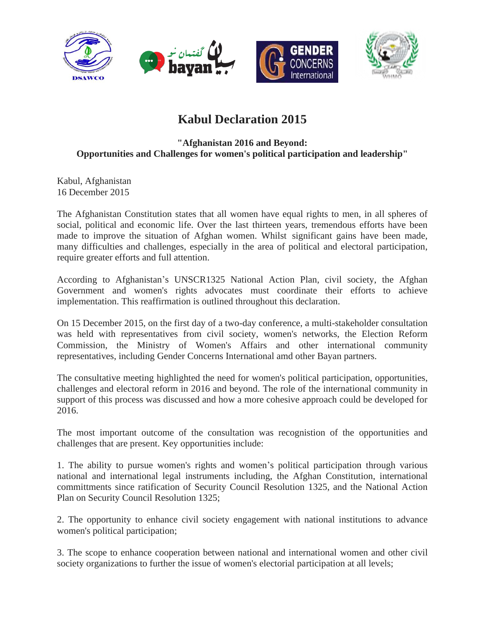

## **Kabul Declaration 2015**

## **"Afghanistan 2016 and Beyond: Opportunities and Challenges for women's political participation and leadership"**

Kabul, Afghanistan 16 December 2015

The Afghanistan Constitution states that all women have equal rights to men, in all spheres of social, political and economic life. Over the last thirteen years, tremendous efforts have been made to improve the situation of Afghan women. Whilst significant gains have been made, many difficulties and challenges, especially in the area of political and electoral participation, require greater efforts and full attention.

According to Afghanistan's UNSCR1325 National Action Plan, civil society, the Afghan Government and women's rights advocates must coordinate their efforts to achieve implementation. This reaffirmation is outlined throughout this declaration.

On 15 December 2015, on the first day of a two-day conference, a multi-stakeholder consultation was held with representatives from civil society, women's networks, the Election Reform Commission, the Ministry of Women's Affairs and other international community representatives, including Gender Concerns International amd other Bayan partners.

The consultative meeting highlighted the need for women's political participation, opportunities, challenges and electoral reform in 2016 and beyond. The role of the international community in support of this process was discussed and how a more cohesive approach could be developed for 2016.

The most important outcome of the consultation was recognistion of the opportunities and challenges that are present. Key opportunities include:

1. The ability to pursue women's rights and women's political participation through various national and international legal instruments including, the Afghan Constitution, international committments since ratification of Security Council Resolution 1325, and the National Action Plan on Security Council Resolution 1325;

2. The opportunity to enhance civil society engagement with national institutions to advance women's political participation;

3. The scope to enhance cooperation between national and international women and other civil society organizations to further the issue of women's electorial participation at all levels;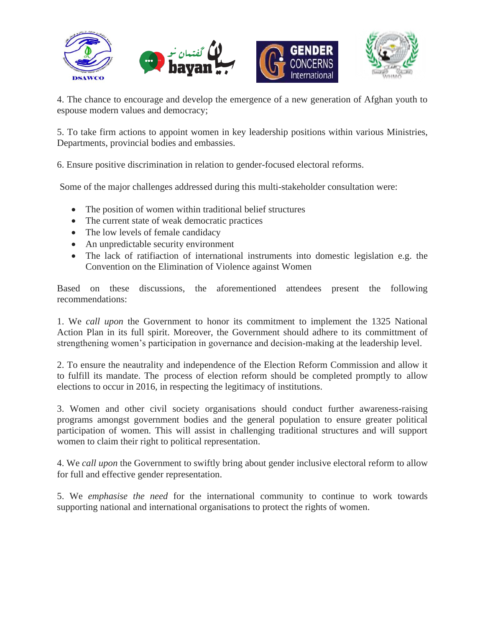

4. The chance to encourage and develop the emergence of a new generation of Afghan youth to espouse modern values and democracy;

5. To take firm actions to appoint women in key leadership positions within various Ministries, Departments, provincial bodies and embassies.

6. Ensure positive discrimination in relation to gender-focused electoral reforms.

Some of the major challenges addressed during this multi-stakeholder consultation were:

- The position of women within traditional belief structures
- The current state of weak democratic practices
- The low levels of female candidacy
- An unpredictable security environment
- The lack of ratifiaction of international instruments into domestic legislation e.g. the Convention on the Elimination of Violence against Women

Based on these discussions, the aforementioned attendees present the following recommendations:

1. We *call upon* the Government to honor its commitment to implement the 1325 National Action Plan in its full spirit. Moreover, the Government should adhere to its committment of strengthening women's participation in governance and decision-making at the leadership level.

2. To ensure the neautrality and independence of the Election Reform Commission and allow it to fulfill its mandate. The process of election reform should be completed promptly to allow elections to occur in 2016, in respecting the legitimacy of institutions.

3. Women and other civil society organisations should conduct further awareness-raising programs amongst government bodies and the general population to ensure greater political participation of women. This will assist in challenging traditional structures and will support women to claim their right to political representation.

4. We *call upon* the Government to swiftly bring about gender inclusive electoral reform to allow for full and effective gender representation.

5. We *emphasise the need* for the international community to continue to work towards supporting national and international organisations to protect the rights of women.